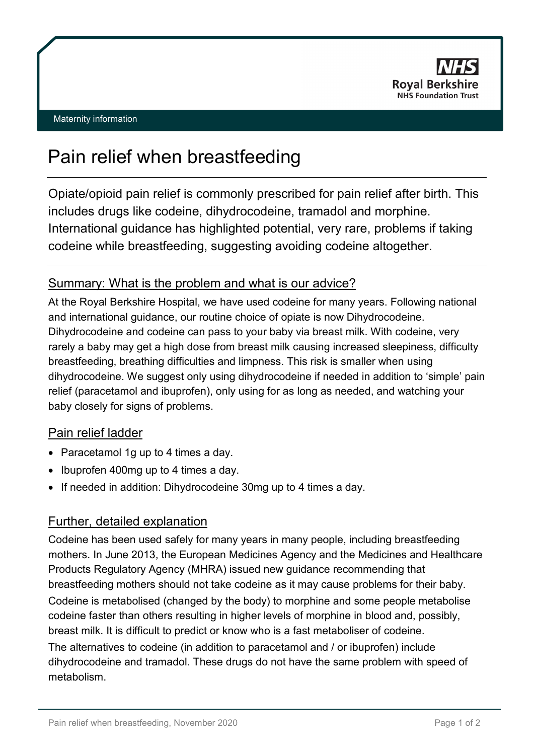

#### Maternity information

# Pain relief when breastfeeding

Opiate/opioid pain relief is commonly prescribed for pain relief after birth. This includes drugs like codeine, dihydrocodeine, tramadol and morphine. International guidance has highlighted potential, very rare, problems if taking codeine while breastfeeding, suggesting avoiding codeine altogether.

# Summary: What is the problem and what is our advice?

At the Royal Berkshire Hospital, we have used codeine for many years. Following national and international guidance, our routine choice of opiate is now Dihydrocodeine. Dihydrocodeine and codeine can pass to your baby via breast milk. With codeine, very rarely a baby may get a high dose from breast milk causing increased sleepiness, difficulty breastfeeding, breathing difficulties and limpness. This risk is smaller when using dihydrocodeine. We suggest only using dihydrocodeine if needed in addition to 'simple' pain relief (paracetamol and ibuprofen), only using for as long as needed, and watching your baby closely for signs of problems.

# Pain relief ladder

- Paracetamol 1g up to 4 times a day.
- Ibuprofen 400mg up to 4 times a day.
- If needed in addition: Dihydrocodeine 30mg up to 4 times a day.

# Further, detailed explanation

Codeine has been used safely for many years in many people, including breastfeeding mothers. In June 2013, the European Medicines Agency and the Medicines and Healthcare Products Regulatory Agency (MHRA) issued new guidance recommending that breastfeeding mothers should not take codeine as it may cause problems for their baby. Codeine is metabolised (changed by the body) to morphine and some people metabolise codeine faster than others resulting in higher levels of morphine in blood and, possibly, breast milk. It is difficult to predict or know who is a fast metaboliser of codeine. The alternatives to codeine (in addition to paracetamol and / or ibuprofen) include dihydrocodeine and tramadol. These drugs do not have the same problem with speed of metabolism.